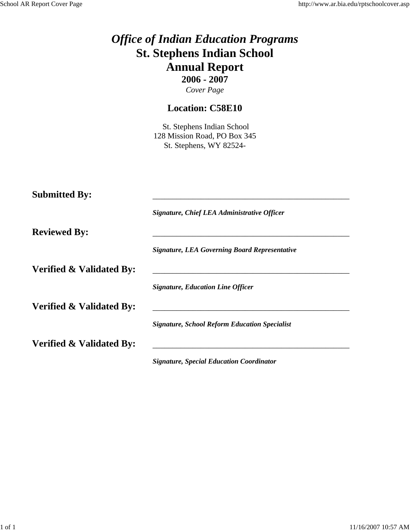|                                     | <b>Office of Indian Education Programs</b><br><b>St. Stephens Indian School</b><br><b>Annual Report</b><br>$2006 - 2007$<br>Cover Page |
|-------------------------------------|----------------------------------------------------------------------------------------------------------------------------------------|
|                                     | <b>Location: C58E10</b>                                                                                                                |
|                                     | St. Stephens Indian School<br>128 Mission Road, PO Box 345<br>St. Stephens, WY 82524-                                                  |
| <b>Submitted By:</b>                | Signature, Chief LEA Administrative Officer                                                                                            |
| <b>Reviewed By:</b>                 |                                                                                                                                        |
|                                     | <b>Signature, LEA Governing Board Representative</b>                                                                                   |
| <b>Verified &amp; Validated By:</b> |                                                                                                                                        |
|                                     | <b>Signature, Education Line Officer</b>                                                                                               |
| Verified & Validated By:            | <b>Signature, School Reform Education Specialist</b>                                                                                   |
| <b>Verified &amp; Validated By:</b> |                                                                                                                                        |

*Signature, Special Education Coordinator*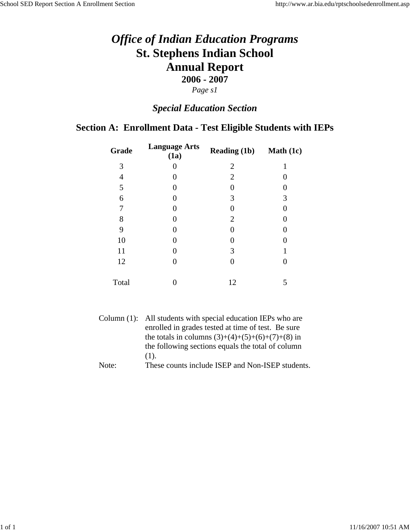## *Special Education Section*

## **Section A: Enrollment Data - Test Eligible Students with IEPs**

| Grade | <b>Language Arts</b><br>(1a) | <b>Reading (1b)</b> | <b>Math</b> $(1c)$ |
|-------|------------------------------|---------------------|--------------------|
| 3     | 0                            | $\overline{2}$      | 1                  |
| 4     | 0                            | $\overline{2}$      |                    |
| 5     | 0                            |                     |                    |
| 6     | 0                            | 3                   | 3                  |
| 7     | 0                            |                     |                    |
| 8     | 0                            | $\overline{2}$      |                    |
| 9     | 0                            |                     |                    |
| 10    | 0                            |                     |                    |
| 11    | 0                            | 3                   |                    |
| 12    | 0                            |                     |                    |
| Total |                              | 12                  | 5                  |
|       |                              |                     |                    |

|       | Column (1): All students with special education IEPs who are |
|-------|--------------------------------------------------------------|
|       | enrolled in grades tested at time of test. Be sure           |
|       | the totals in columns $(3)+(4)+(5)+(6)+(7)+(8)$ in           |
|       | the following sections equals the total of column            |
|       | $(1)$ .                                                      |
| Note: | These counts include ISEP and Non-ISEP students.             |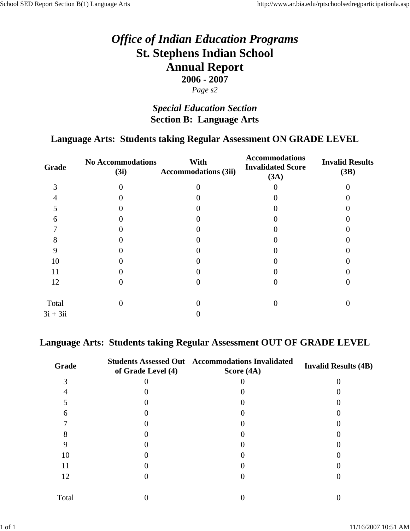# *Special Education Section* **Section B: Language Arts**

### **Language Arts: Students taking Regular Assessment ON GRADE LEVEL**

| Grade      | <b>No Accommodations</b><br>(3i) | With<br><b>Accommodations (3ii)</b> | <b>Accommodations</b><br><b>Invalidated Score</b><br>(3A) | <b>Invalid Results</b><br>(3B) |
|------------|----------------------------------|-------------------------------------|-----------------------------------------------------------|--------------------------------|
| 3          |                                  |                                     |                                                           |                                |
|            |                                  |                                     |                                                           |                                |
|            |                                  |                                     |                                                           |                                |
| 6          |                                  |                                     |                                                           |                                |
|            |                                  |                                     |                                                           |                                |
| Ω          |                                  |                                     |                                                           |                                |
|            |                                  |                                     |                                                           |                                |
| 10         |                                  |                                     |                                                           |                                |
| 11         |                                  |                                     |                                                           |                                |
| 12         |                                  |                                     |                                                           |                                |
| Total      |                                  |                                     |                                                           |                                |
| $3i + 3ii$ |                                  |                                     |                                                           |                                |
|            |                                  |                                     |                                                           |                                |

### **Language Arts: Students taking Regular Assessment OUT OF GRADE LEVEL**

| Grade | of Grade Level (4) | <b>Students Assessed Out Accommodations Invalidated</b><br>Score $(4A)$ | <b>Invalid Results (4B)</b> |
|-------|--------------------|-------------------------------------------------------------------------|-----------------------------|
|       |                    |                                                                         |                             |
|       |                    |                                                                         |                             |
|       |                    |                                                                         |                             |
| 6     |                    |                                                                         |                             |
|       |                    |                                                                         |                             |
|       |                    |                                                                         |                             |
|       |                    |                                                                         |                             |
| 10    |                    |                                                                         |                             |
| 11    |                    |                                                                         |                             |
| 12    |                    |                                                                         |                             |
| Total |                    |                                                                         |                             |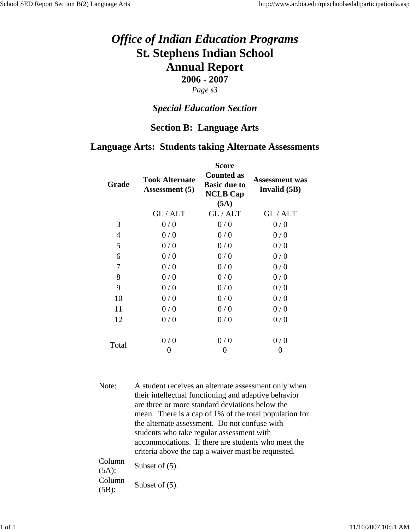#### *Page s3*

### *Special Education Section*

#### **Section B: Language Arts**

#### **Language Arts: Students taking Alternate Assessments**

| Grade | <b>Took Alternate</b><br><b>Assessment</b> (5) | <b>Score</b><br><b>Counted as</b><br><b>Basic due to</b><br><b>NCLB Cap</b><br>(5A) | <b>Assessment</b> was<br>Invalid (5B) |
|-------|------------------------------------------------|-------------------------------------------------------------------------------------|---------------------------------------|
|       | GL/ALT                                         | GL/ALT                                                                              | GL/ALT                                |
| 3     | 0/0                                            | 0/0                                                                                 | 0/0                                   |
| 4     | 0/0                                            | 0/0                                                                                 | 0/0                                   |
| 5     | 0/0                                            | 0/0                                                                                 | 0/0                                   |
| 6     | 0/0                                            | 0/0                                                                                 | 0/0                                   |
| 7     | 0/0                                            | 0/0                                                                                 | 0/0                                   |
| 8     | 0/0                                            | 0/0                                                                                 | 0/0                                   |
| 9     | 0/0                                            | 0/0                                                                                 | 0/0                                   |
| 10    | 0/0                                            | 0/0                                                                                 | 0/0                                   |
| 11    | 0/0                                            | 0/0                                                                                 | 0/0                                   |
| 12    | 0/0                                            | 0/0                                                                                 | 0/0                                   |
| Total | 0/0                                            | 0/0                                                                                 | 0/0                                   |
|       | 0                                              | 0                                                                                   | 0                                     |

Note: A student receives an alternate assessment only when their intellectual functioning and adaptive behavior are three or more standard deviations below the mean. There is a cap of 1% of the total population for the alternate assessment. Do not confuse with students who take regular assessment with accommodations. If there are students who meet the criteria above the cap a waiver must be requested.

Column  $\frac{\text{Column}}{\text{(5A)}}$  Subset of (5). Column  $\frac{\text{Column}}{\text{(5B)}}$  Subset of (5).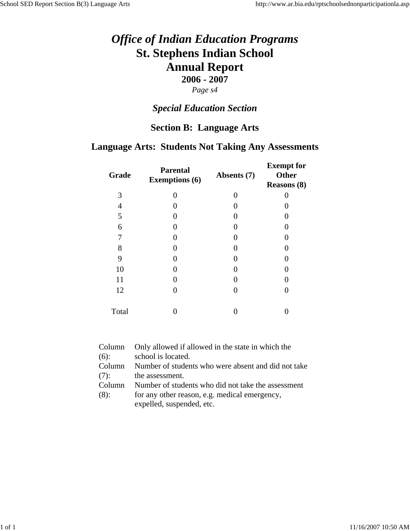## *Special Education Section*

### **Section B: Language Arts**

### **Language Arts: Students Not Taking Any Assessments**

| Grade | <b>Parental</b><br><b>Exemptions (6)</b> | Absents (7)       | <b>Exempt</b> for<br><b>Other</b><br><b>Reasons (8)</b> |
|-------|------------------------------------------|-------------------|---------------------------------------------------------|
| 3     | 0                                        | $\mathbf{\Omega}$ |                                                         |
| 4     |                                          |                   |                                                         |
| 5     |                                          |                   |                                                         |
| 6     |                                          |                   |                                                         |
| 7     |                                          |                   |                                                         |
| 8     |                                          |                   |                                                         |
| 9     |                                          |                   |                                                         |
| 10    |                                          | 0                 |                                                         |
| 11    |                                          |                   |                                                         |
| 12    |                                          | 0                 |                                                         |
| Total |                                          |                   |                                                         |

| Column  | Only allowed if allowed in the state in which the   |
|---------|-----------------------------------------------------|
| $(6)$ : | school is located.                                  |
| Column  | Number of students who were absent and did not take |
| (7):    | the assessment.                                     |
| Column  | Number of students who did not take the assessment  |
| (8):    | for any other reason, e.g. medical emergency,       |
|         | expelled, suspended, etc.                           |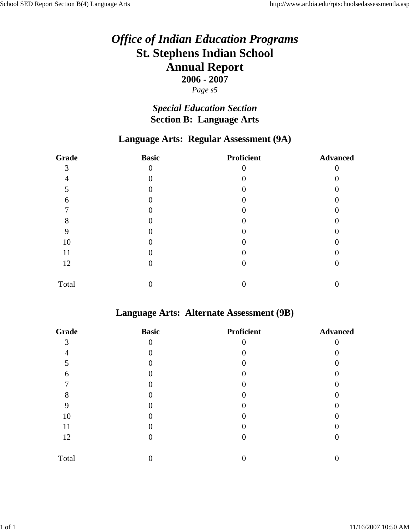*Page s5*

# *Special Education Section* **Section B: Language Arts**

### **Language Arts: Regular Assessment (9A)**

| Grade | <b>Basic</b> | <b>Proficient</b> | <b>Advanced</b> |
|-------|--------------|-------------------|-----------------|
| 3     | $\theta$     |                   |                 |
|       |              |                   |                 |
|       |              |                   |                 |
| 6     |              |                   |                 |
|       |              |                   |                 |
| 8     |              |                   |                 |
| 9     |              |                   |                 |
| 10    |              |                   |                 |
| 11    |              |                   |                 |
| 12    |              |                   |                 |
| Total |              |                   |                 |

#### **Language Arts: Alternate Assessment (9B)**

| Grade | <b>Basic</b> | <b>Proficient</b> | <b>Advanced</b> |
|-------|--------------|-------------------|-----------------|
| 3     | $\theta$     |                   |                 |
|       |              |                   |                 |
| 5     |              |                   |                 |
| 6     |              |                   |                 |
| ┍     |              |                   |                 |
| 8     |              |                   |                 |
|       |              |                   |                 |
| 10    |              |                   |                 |
| 11    |              |                   |                 |
| 12    |              |                   |                 |
| Total |              |                   |                 |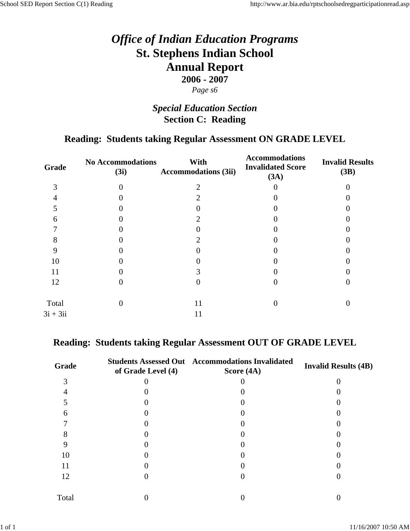# *Special Education Section* **Section C: Reading**

### **Reading: Students taking Regular Assessment ON GRADE LEVEL**

| Grade      | <b>No Accommodations</b><br>(3i) | With<br><b>Accommodations (3ii)</b> | <b>Accommodations</b><br><b>Invalidated Score</b><br>(3A) | <b>Invalid Results</b><br>(3B) |
|------------|----------------------------------|-------------------------------------|-----------------------------------------------------------|--------------------------------|
| 3          |                                  |                                     |                                                           |                                |
|            |                                  |                                     |                                                           |                                |
|            |                                  |                                     |                                                           |                                |
| 6          |                                  |                                     |                                                           |                                |
|            |                                  |                                     |                                                           |                                |
| δ          |                                  |                                     |                                                           |                                |
|            |                                  |                                     |                                                           |                                |
| 10         |                                  |                                     |                                                           |                                |
| 11         |                                  |                                     |                                                           |                                |
| 12         |                                  |                                     |                                                           |                                |
| Total      |                                  | 11                                  |                                                           |                                |
| $3i + 3ii$ |                                  | 11                                  |                                                           |                                |
|            |                                  |                                     |                                                           |                                |

### **Reading: Students taking Regular Assessment OUT OF GRADE LEVEL**

| Grade | of Grade Level (4) | <b>Students Assessed Out Accommodations Invalidated</b><br>Score $(4A)$ | <b>Invalid Results (4B)</b> |
|-------|--------------------|-------------------------------------------------------------------------|-----------------------------|
|       |                    |                                                                         |                             |
|       |                    |                                                                         |                             |
|       |                    |                                                                         |                             |
| 6     |                    |                                                                         |                             |
|       |                    |                                                                         |                             |
|       |                    |                                                                         |                             |
|       |                    |                                                                         |                             |
| 10    |                    |                                                                         |                             |
| 11    |                    |                                                                         |                             |
| 12    |                    |                                                                         |                             |
| Total |                    |                                                                         |                             |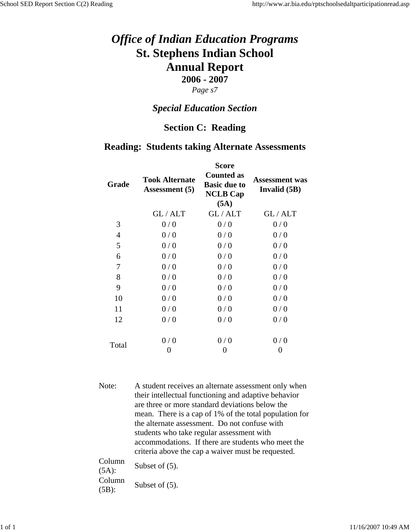#### *Page s7*

### *Special Education Section*

#### **Section C: Reading**

#### **Reading: Students taking Alternate Assessments**

| Grade | <b>Took Alternate</b><br><b>Assessment</b> (5) | <b>Score</b><br><b>Counted as</b><br><b>Basic due to</b><br><b>NCLB Cap</b><br>(5A) | <b>Assessment was</b><br>Invalid (5B) |
|-------|------------------------------------------------|-------------------------------------------------------------------------------------|---------------------------------------|
|       | GL/ALT                                         | GL/ALT                                                                              | GL/ALT                                |
| 3     | 0/0                                            | 0/0                                                                                 | 0/0                                   |
| 4     | 0/0                                            | 0/0                                                                                 | 0/0                                   |
| 5     | 0/0                                            | 0/0                                                                                 | 0/0                                   |
| 6     | 0/0                                            | 0/0                                                                                 | 0/0                                   |
| 7     | 0/0                                            | 0/0                                                                                 | 0/0                                   |
| 8     | 0/0                                            | 0/0                                                                                 | 0/0                                   |
| 9     | 0/0                                            | 0/0                                                                                 | 0/0                                   |
| 10    | 0/0                                            | 0/0                                                                                 | 0/0                                   |
| 11    | 0/0                                            | 0/0                                                                                 | 0/0                                   |
| 12    | 0/0                                            | 0/0                                                                                 | 0/0                                   |
| Total | 0/0                                            | 0/0                                                                                 | 0/0                                   |
|       | 0                                              | 0                                                                                   | 0                                     |

Note: A student receives an alternate assessment only when their intellectual functioning and adaptive behavior are three or more standard deviations below the mean. There is a cap of 1% of the total population for the alternate assessment. Do not confuse with students who take regular assessment with accommodations. If there are students who meet the criteria above the cap a waiver must be requested.  $C<sub>0</sub>$ 

| CORTIN<br>$(5A)$ : | Subset of $(5)$ . |
|--------------------|-------------------|
| Column<br>$(5B)$ : | Subset of $(5)$ . |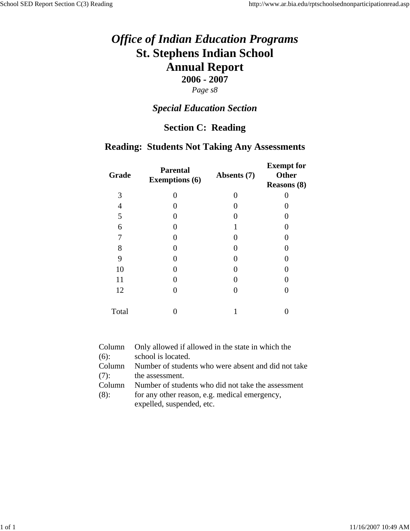# *Special Education Section*

## **Section C: Reading**

### **Reading: Students Not Taking Any Assessments**

| Grade | <b>Parental</b><br><b>Exemptions</b> (6) | Absents (7) | <b>Exempt for</b><br>Other<br><b>Reasons (8)</b> |
|-------|------------------------------------------|-------------|--------------------------------------------------|
| 3     |                                          |             |                                                  |
| 4     |                                          |             |                                                  |
| 5     |                                          |             | 0                                                |
| 6     |                                          |             | 0                                                |
| 7     |                                          |             | 0                                                |
| 8     |                                          |             | 0                                                |
| 9     |                                          |             | 0                                                |
| 10    |                                          |             | 0                                                |
| 11    |                                          |             | 0                                                |
| 12    |                                          |             | 0                                                |
| Total |                                          |             |                                                  |

| Column  | Only allowed if allowed in the state in which the   |
|---------|-----------------------------------------------------|
| $(6)$ : | school is located.                                  |
| Column  | Number of students who were absent and did not take |
| (7):    | the assessment.                                     |
| Column  | Number of students who did not take the assessment  |
| (8):    | for any other reason, e.g. medical emergency,       |
|         | expelled, suspended, etc.                           |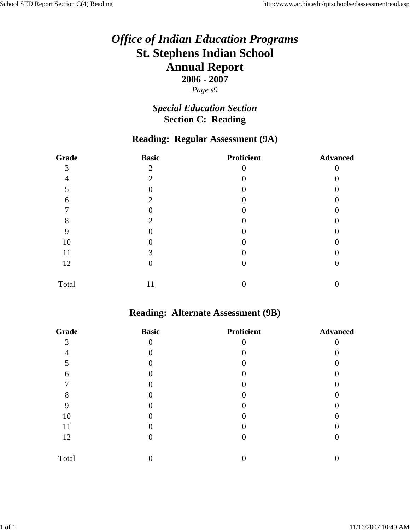# *Special Education Section* **Section C: Reading**

### **Reading: Regular Assessment (9A)**

| Grade | <b>Basic</b> | <b>Proficient</b> | <b>Advanced</b> |
|-------|--------------|-------------------|-----------------|
| 3     | ◠            |                   |                 |
| 4     | 2            |                   |                 |
| 5     |              |                   |                 |
| 6     | 2            |                   |                 |
|       |              |                   |                 |
| 8     |              |                   |                 |
| 9     |              |                   |                 |
| 10    |              |                   |                 |
| 11    | 3            |                   |                 |
| 12    |              |                   |                 |
| Total | 11           |                   |                 |

### **Reading: Alternate Assessment (9B)**

| Grade | <b>Basic</b> | <b>Proficient</b> | <b>Advanced</b> |
|-------|--------------|-------------------|-----------------|
| 3     | 0            |                   |                 |
|       |              |                   |                 |
|       |              |                   |                 |
| 6     |              |                   |                 |
|       |              |                   |                 |
| 8     |              |                   |                 |
| 9     |              |                   |                 |
| 10    |              |                   |                 |
| 11    |              |                   |                 |
| 12    |              |                   |                 |
| Total |              |                   |                 |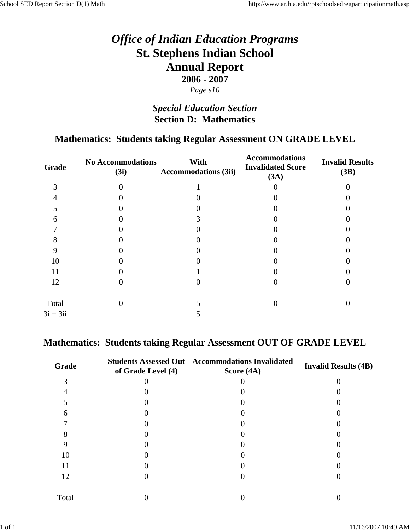## *Special Education Section* **Section D: Mathematics**

### **Mathematics: Students taking Regular Assessment ON GRADE LEVEL**

| Grade      | <b>No Accommodations</b><br>(3i) | With<br><b>Accommodations (3ii)</b> | <b>Accommodations</b><br><b>Invalidated Score</b><br>(3A) | <b>Invalid Results</b><br>(3B) |
|------------|----------------------------------|-------------------------------------|-----------------------------------------------------------|--------------------------------|
| 3          |                                  |                                     |                                                           |                                |
|            |                                  |                                     |                                                           |                                |
|            |                                  |                                     |                                                           |                                |
| 6          |                                  |                                     |                                                           |                                |
|            |                                  |                                     |                                                           |                                |
| Ω          |                                  |                                     |                                                           |                                |
|            |                                  |                                     |                                                           |                                |
| 10         |                                  |                                     |                                                           |                                |
| 11         |                                  |                                     |                                                           |                                |
| 12         |                                  |                                     |                                                           |                                |
| Total      |                                  |                                     |                                                           |                                |
| $3i + 3ii$ |                                  |                                     |                                                           |                                |
|            |                                  |                                     |                                                           |                                |

### **Mathematics: Students taking Regular Assessment OUT OF GRADE LEVEL**

| Grade | of Grade Level (4) | <b>Students Assessed Out Accommodations Invalidated</b><br>Score $(4A)$ | <b>Invalid Results (4B)</b> |
|-------|--------------------|-------------------------------------------------------------------------|-----------------------------|
|       |                    |                                                                         |                             |
|       |                    |                                                                         |                             |
|       |                    |                                                                         |                             |
| 6     |                    |                                                                         |                             |
|       |                    |                                                                         |                             |
|       |                    |                                                                         |                             |
|       |                    |                                                                         |                             |
| 10    |                    |                                                                         |                             |
| 11    |                    |                                                                         |                             |
| 12    |                    |                                                                         |                             |
| Total |                    |                                                                         |                             |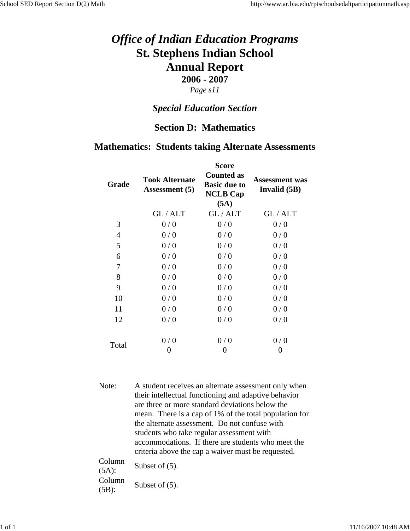### *Page s11*

### *Special Education Section*

## **Section D: Mathematics**

### **Mathematics: Students taking Alternate Assessments**

| Grade | <b>Took Alternate</b><br><b>Assessment</b> (5) | <b>Score</b><br><b>Counted as</b><br><b>Basic due to</b><br><b>NCLB Cap</b><br>(5A) | <b>Assessment</b> was<br>Invalid (5B) |
|-------|------------------------------------------------|-------------------------------------------------------------------------------------|---------------------------------------|
|       | GL/ALT                                         | GL/ALT                                                                              | GL/ALT                                |
| 3     | 0/0                                            | 0/0                                                                                 | 0/0                                   |
| 4     | 0/0                                            | 0/0                                                                                 | 0/0                                   |
| 5     | 0/0                                            | 0/0                                                                                 | 0/0                                   |
| 6     | 0/0                                            | 0/0                                                                                 | 0/0                                   |
| 7     | 0/0                                            | 0/0                                                                                 | 0/0                                   |
| 8     | 0/0                                            | 0/0                                                                                 | 0/0                                   |
| 9     | 0/0                                            | 0/0                                                                                 | 0/0                                   |
| 10    | 0/0                                            | 0/0                                                                                 | 0/0                                   |
| 11    | 0/0                                            | 0/0                                                                                 | 0/0                                   |
| 12    | 0/0                                            | 0/0                                                                                 | 0/0                                   |
| Total | 0/0<br>0                                       | 0/0<br>0                                                                            | 0/0<br>$\theta$                       |

Note: A student receives an alternate assessment only when their intellectual functioning and adaptive behavior are three or more standard deviations below the mean. There is a cap of 1% of the total population for the alternate assessment. Do not confuse with students who take regular assessment with accommodations. If there are students who meet the criteria above the cap a waiver must be requested. Column

 $\frac{\text{Column}}{\text{(5A)}}$  Subset of (5). Column  $\frac{\text{Column}}{\text{(5B)}}$  Subset of (5).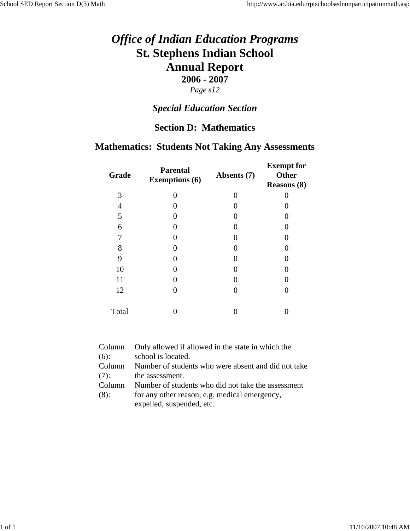## *Special Education Section*

### **Section D: Mathematics**

## **Mathematics: Students Not Taking Any Assessments**

| Grade | <b>Parental</b><br><b>Exemptions (6)</b> | Absents (7) | <b>Exempt</b> for<br><b>Other</b><br><b>Reasons (8)</b> |
|-------|------------------------------------------|-------------|---------------------------------------------------------|
| 3     | 0                                        | 0           |                                                         |
| 4     |                                          |             |                                                         |
| 5     |                                          |             |                                                         |
| 6     |                                          | 0           |                                                         |
| 7     |                                          |             |                                                         |
| 8     |                                          | 0           |                                                         |
| 9     |                                          | 0           |                                                         |
| 10    |                                          | 0           |                                                         |
| 11    |                                          | 0           |                                                         |
| 12    |                                          | 0           |                                                         |
| Total |                                          |             |                                                         |

| Column  | Only allowed if allowed in the state in which the   |
|---------|-----------------------------------------------------|
| $(6)$ : | school is located.                                  |
| Column  | Number of students who were absent and did not take |
| (7):    | the assessment.                                     |
| Column  | Number of students who did not take the assessment  |
| (8):    | for any other reason, e.g. medical emergency,       |
|         | expelled, suspended, etc.                           |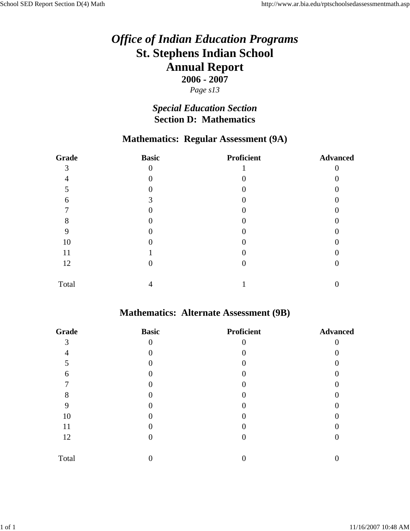# *Special Education Section* **Section D: Mathematics**

# **Mathematics: Regular Assessment (9A)**

| Grade | <b>Basic</b> | <b>Proficient</b> | <b>Advanced</b> |
|-------|--------------|-------------------|-----------------|
| 3     | $\theta$     |                   |                 |
|       |              |                   |                 |
| 5     |              |                   |                 |
| 6     | 3            |                   |                 |
|       |              |                   |                 |
| 8     |              |                   |                 |
| 9     |              |                   |                 |
| 10    |              |                   |                 |
| 11    |              |                   |                 |
| 12    | 0            |                   |                 |
| Total |              |                   |                 |

# **Mathematics: Alternate Assessment (9B)**

| Grade | <b>Basic</b> | <b>Proficient</b> | <b>Advanced</b> |
|-------|--------------|-------------------|-----------------|
| 3     | $\theta$     |                   |                 |
|       |              |                   |                 |
| 5     |              |                   |                 |
| 6     |              |                   |                 |
|       |              |                   |                 |
| 8     |              |                   |                 |
|       |              |                   |                 |
| 10    |              |                   |                 |
| 11    |              |                   |                 |
| 12    |              |                   |                 |
| Total |              |                   |                 |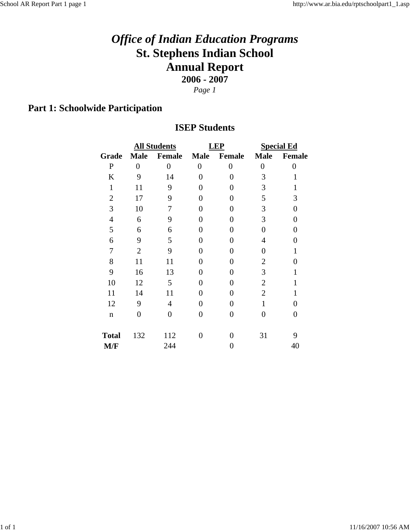*Page 1*

# **Part 1: Schoolwide Participation**

### **ISEP Students**

|                |                | <b>All Students</b> |                  | <b>LEP</b>        | <b>Special Ed</b> |               |
|----------------|----------------|---------------------|------------------|-------------------|-------------------|---------------|
| Grade          | <b>Male</b>    | Female              | <b>Male</b>      | <b>Female</b>     | <b>Male</b>       | <b>Female</b> |
| ${\bf P}$      | $\overline{0}$ | $\overline{0}$      | $\boldsymbol{0}$ | 0                 | $\boldsymbol{0}$  | 0             |
| K              | 9              | 14                  | 0                | 0                 | 3                 | 1             |
| $\mathbf{1}$   | 11             | 9                   | 0                | 0                 | 3                 | 1             |
| $\overline{2}$ | 17             | 9                   | 0                | 0                 | 5                 | 3             |
| 3              | 10             | 7                   | 0                | 0                 | 3                 | 0             |
| $\overline{4}$ | 6              | 9                   | 0                | 0                 | 3                 | 0             |
| 5              | 6              | 6                   | 0                | 0                 | 0                 | 0             |
| 6              | 9              | 5                   | 0                | 0                 | 4                 | 0             |
| 7              | $\overline{2}$ | 9                   | 0                | 0                 | 0                 | $\mathbf{1}$  |
| 8              | 11             | 11                  | 0                | 0                 | $\overline{2}$    | 0             |
| 9              | 16             | 13                  | 0                | 0                 | 3                 | 1             |
| 10             | 12             | 5                   | 0                | 0                 | $\overline{2}$    | 1             |
| 11             | 14             | 11                  | 0                | 0                 | $\overline{2}$    | $\mathbf{1}$  |
| 12             | 9              | 4                   | 0                | 0                 | $\mathbf{1}$      | 0             |
| $\mathbf n$    | $\overline{0}$ | $\overline{0}$      | $\overline{0}$   | $\theta$          | $\Omega$          | 0             |
| <b>Total</b>   | 132            | 112                 | 0                | $\mathbf{\Omega}$ | 31                | 9             |
| M/F            |                | 244                 |                  | 0                 |                   | 40            |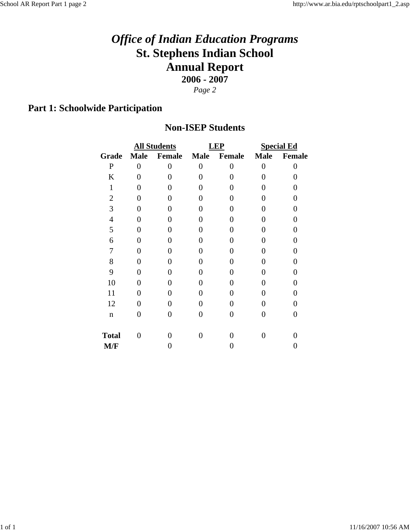# **Part 1: Schoolwide Participation**

### **Non-ISEP Students**

|                |                | <b>All Students</b> |             | <b>LEP</b>        | <b>Special Ed</b> |          |
|----------------|----------------|---------------------|-------------|-------------------|-------------------|----------|
| Grade          | <b>Male</b>    | <b>Female</b>       | <b>Male</b> | Female            | <b>Male</b>       | Female   |
| $\mathbf P$    | $\overline{0}$ | $\overline{0}$      | $\theta$    | $\theta$          | 0                 | $\theta$ |
| K              | 0              | 0                   |             | 0                 | 0                 | 0        |
| 1              | 0              | 0                   |             | 0                 | 0                 | 0        |
| $\overline{2}$ | 0              | 0                   | 0           | 0                 | 0                 | 0        |
| 3              | 0              | 0                   | 0           | 0                 | 0                 | 0        |
| $\overline{4}$ | 0              | 0                   | 0           | 0                 | 0                 | N        |
| 5              | 0              | 0                   | 0           | 0                 | 0                 |          |
| 6              | 0              | 0                   | 0           | 0                 | 0                 | 0        |
| 7              | 0              | 0                   | 0           | 0                 | 0                 | 0        |
| 8              | 0              | 0                   | 0           | 0                 | 0                 | 0        |
| 9              | 0              | 0                   | 0           | 0                 | 0                 | 0        |
| 10             | 0              | 0                   | 0           | $\mathbf{\Omega}$ | 0                 | 0        |
| 11             | 0              | 0                   | 0           | 0                 | 0                 | 0        |
| 12             | 0              | 0                   | 0           | 0                 | 0                 | 0        |
| $\mathbf n$    | 0              | 0                   | 0           | 0                 | 0                 | 0        |
| <b>Total</b>   | 0              | 0                   | 0           | 0                 | 0                 |          |
| M/F            |                |                     |             | 0                 |                   | O        |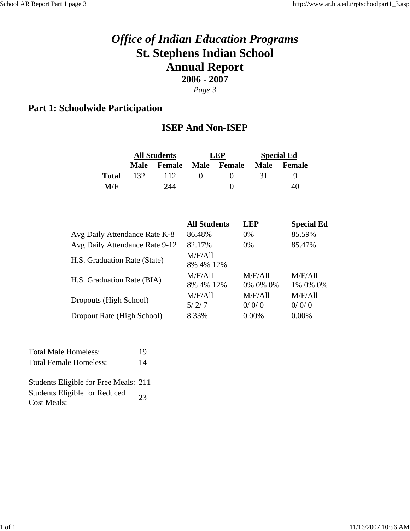## **Part 1: Schoolwide Participation**

### **ISEP And Non-ISEP**

|                                | <b>All Students</b> |                      | LEP                  |                     |                     | <b>Special Ed</b> |
|--------------------------------|---------------------|----------------------|----------------------|---------------------|---------------------|-------------------|
|                                | <b>Male</b>         | <b>Female</b>        | <b>Male</b>          | <b>Female</b>       | <b>Male</b>         | <b>Female</b>     |
| <b>Total</b>                   | 132                 | 112                  | 0                    | 0                   | 31                  | 9                 |
| M/F                            |                     | 244                  |                      | $\boldsymbol{0}$    |                     | 40                |
|                                |                     |                      |                      |                     |                     |                   |
|                                |                     |                      | <b>All Students</b>  |                     | <b>LEP</b>          | <b>Special Ed</b> |
| Avg Daily Attendance Rate K-8  |                     |                      | 86.48%               |                     | 0%                  | 85.59%            |
| Avg Daily Attendance Rate 9-12 |                     |                      | 82.17%               |                     | 0%                  | 85.47%            |
| H.S. Graduation Rate (State)   |                     |                      | M/F/All<br>8% 4% 12% |                     |                     |                   |
| H.S. Graduation Rate (BIA)     |                     | M/F/All<br>8% 4% 12% |                      | M/F/All<br>0% 0% 0% | M/F/All<br>1% 0% 0% |                   |
| Dropouts (High School)         |                     |                      | M/F/All<br>5/2/7     |                     | M/F/Al1<br>0/0/0    | M/F/All<br>0/0/0  |
| Dropout Rate (High School)     |                     |                      | 8.33%                |                     | 0.00%               | 0.00%             |

| <b>Total Male Homeless:</b>           | 19 |
|---------------------------------------|----|
| <b>Total Female Homeless:</b>         | 14 |
| Students Fligible for Free Meals: 211 |    |

Students Eligible for Free Meals: 211 Students Eligible for Reduced 23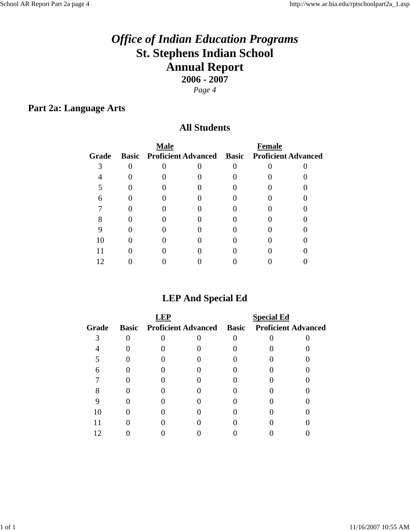## **Part 2a: Language Arts**

### **All Students**

|       | <b>Male</b>                                         | <b>Female</b> |  |  |  |
|-------|-----------------------------------------------------|---------------|--|--|--|
| Grade | Basic Proficient Advanced Basic Proficient Advanced |               |  |  |  |
|       |                                                     |               |  |  |  |
|       |                                                     |               |  |  |  |
|       |                                                     |               |  |  |  |
|       |                                                     |               |  |  |  |
|       |                                                     |               |  |  |  |
|       |                                                     |               |  |  |  |
|       |                                                     |               |  |  |  |
|       |                                                     |               |  |  |  |
|       |                                                     |               |  |  |  |
|       |                                                     |               |  |  |  |

## **LEP And Special Ed**

|       |  |                                                     | <b>Special Ed</b> |  |  |  |
|-------|--|-----------------------------------------------------|-------------------|--|--|--|
| Grade |  | Basic Proficient Advanced Basic Proficient Advanced |                   |  |  |  |
|       |  |                                                     |                   |  |  |  |
|       |  |                                                     |                   |  |  |  |
|       |  |                                                     |                   |  |  |  |
|       |  |                                                     |                   |  |  |  |
|       |  |                                                     |                   |  |  |  |
|       |  |                                                     |                   |  |  |  |
|       |  |                                                     |                   |  |  |  |
|       |  |                                                     |                   |  |  |  |
|       |  |                                                     |                   |  |  |  |
|       |  |                                                     |                   |  |  |  |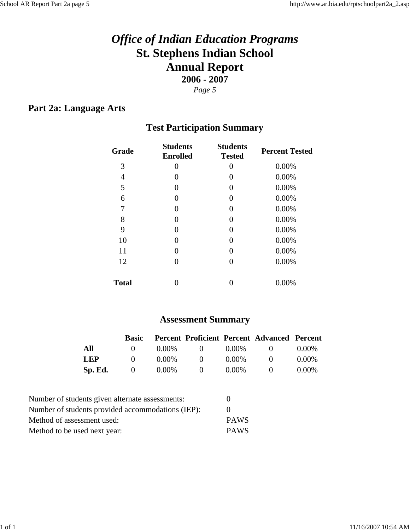## **Part 2a: Language Arts**

## **Test Participation Summary**

| Grade        | <b>Students</b><br><b>Enrolled</b> | <b>Students</b><br><b>Tested</b> | <b>Percent Tested</b> |  |
|--------------|------------------------------------|----------------------------------|-----------------------|--|
| 3            | 0                                  | $\theta$                         | 0.00%                 |  |
| 4            | $\theta$                           | $\theta$                         | 0.00%                 |  |
| 5            | 0                                  | $\left( \right)$                 | 0.00%                 |  |
| 6            | 0                                  | $\theta$                         | 0.00%                 |  |
| 7            | 0                                  | $\theta$                         | 0.00%                 |  |
| 8            | $\mathbf{0}$                       | $\theta$                         | 0.00%                 |  |
| 9            | 0                                  | 0                                | 0.00%                 |  |
| 10           | $\mathbf{0}$                       | $\left( \right)$                 | 0.00%                 |  |
| 11           | 0                                  | $\theta$                         | 0.00%                 |  |
| 12           | $\mathbf{0}$                       | $\left( \right)$                 | 0.00%                 |  |
| <b>Total</b> |                                    |                                  | 0.00%                 |  |

## **Assessment Summary**

|            | Basic        |          |              |          | Percent Proficient Percent Advanced Percent |          |
|------------|--------------|----------|--------------|----------|---------------------------------------------|----------|
| All        |              | $0.00\%$ | $\Omega$     | $0.00\%$ | $\mathbf{U}$                                | $0.00\%$ |
| <b>LEP</b> | $\mathbf{U}$ | $0.00\%$ | $\mathbf{O}$ | $0.00\%$ | $\mathbf{U}$                                | $0.00\%$ |
| Sp. Ed.    | $\mathbf{U}$ | $0.00\%$ | $\Omega$     | $0.00\%$ |                                             | $0.00\%$ |

| Number of students given alternate assessments:   | $\mathbf{0}$ |
|---------------------------------------------------|--------------|
| Number of students provided accommodations (IEP): |              |
| Method of assessment used:                        | <b>PAWS</b>  |
| Method to be used next year:                      | <b>PAWS</b>  |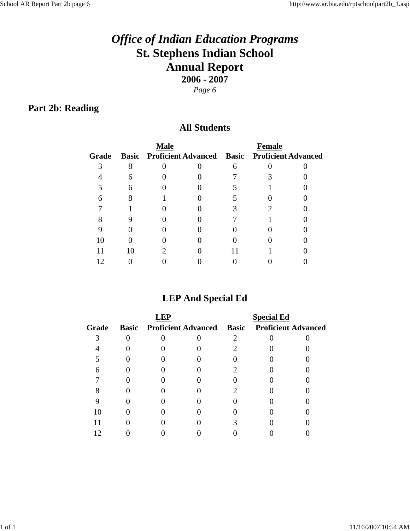# **Part 2b: Reading**

### **All Students**

|       | <b>Male</b> | <b>Female</b> |                                                            |  |  |
|-------|-------------|---------------|------------------------------------------------------------|--|--|
| Grade |             |               | <b>Basic Proficient Advanced Basic Proficient Advanced</b> |  |  |
|       |             |               |                                                            |  |  |
|       |             |               |                                                            |  |  |
|       |             |               |                                                            |  |  |
|       |             |               |                                                            |  |  |
|       |             |               |                                                            |  |  |
|       |             |               |                                                            |  |  |
|       |             |               |                                                            |  |  |
|       |             |               |                                                            |  |  |
|       |             |               |                                                            |  |  |
|       |             |               |                                                            |  |  |

## **LEP And Special Ed**

|       |  |                                                     | <b>Special Ed</b> |  |  |  |
|-------|--|-----------------------------------------------------|-------------------|--|--|--|
| Grade |  | Basic Proficient Advanced Basic Proficient Advanced |                   |  |  |  |
|       |  |                                                     |                   |  |  |  |
|       |  |                                                     |                   |  |  |  |
|       |  |                                                     |                   |  |  |  |
|       |  |                                                     |                   |  |  |  |
|       |  |                                                     |                   |  |  |  |
|       |  |                                                     |                   |  |  |  |
|       |  |                                                     |                   |  |  |  |
|       |  |                                                     |                   |  |  |  |
|       |  |                                                     |                   |  |  |  |
|       |  |                                                     |                   |  |  |  |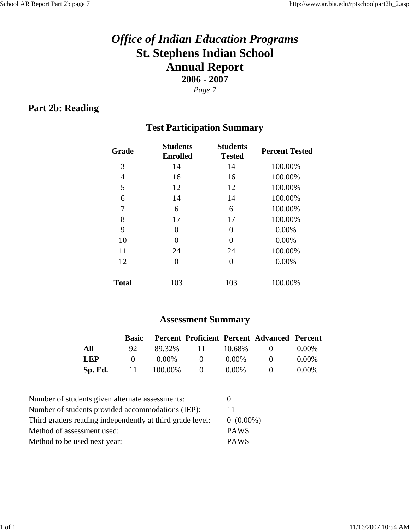## **Part 2b: Reading**

## **Test Participation Summary**

| Grade        | <b>Students</b><br><b>Enrolled</b> | <b>Students</b><br><b>Tested</b> | <b>Percent Tested</b> |
|--------------|------------------------------------|----------------------------------|-----------------------|
| 3            | 14                                 | 14                               | 100.00%               |
| 4            | 16                                 | 16                               | 100.00%               |
| 5            | 12                                 | 12                               | 100.00%               |
| 6            | 14                                 | 14                               | 100.00%               |
| 7            | 6                                  | 6                                | 100.00%               |
| 8            | 17                                 | 17                               | 100.00%               |
| 9            | 0                                  | $\Omega$                         | 0.00%                 |
| 10           | 0                                  | 0                                | 0.00%                 |
| 11           | 24                                 | 24                               | 100.00%               |
| 12           | 0                                  | $\Omega$                         | 0.00%                 |
| <b>Total</b> | 103                                | 103                              | 100.00%               |

## **Assessment Summary**

|            |              |              |                      |          | <b>Basic Percent Proficient Percent Advanced Percent</b> |          |
|------------|--------------|--------------|----------------------|----------|----------------------------------------------------------|----------|
| All        | 92.          |              | 89.32\% 11 10.68\% 0 |          |                                                          | $0.00\%$ |
| <b>LEP</b> | $\mathbf{0}$ | 0.00%        | $\bigcup$            | $0.00\%$ | $\mathbf{O}$                                             | $0.00\%$ |
| Sp. Ed.    |              | 11 100.00% 0 |                      | $0.00\%$ | $\mathbf{0}$                                             | $0.00\%$ |

| Number of students given alternate assessments:           |             |
|-----------------------------------------------------------|-------------|
| Number of students provided accommodations (IEP):         | 11          |
| Third graders reading independently at third grade level: | $0(0.00\%)$ |
| Method of assessment used:                                | <b>PAWS</b> |
| Method to be used next year:                              | <b>PAWS</b> |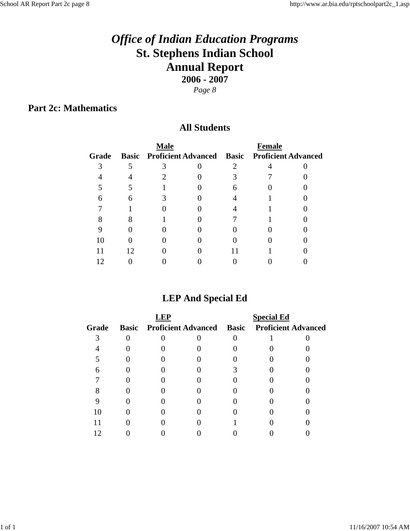**Part 2c: Mathematics**

### **All Students**

|       | <b>Male</b> |                                                     | <b>Female</b> |  |
|-------|-------------|-----------------------------------------------------|---------------|--|
| Grade |             | Basic Proficient Advanced Basic Proficient Advanced |               |  |
|       |             |                                                     |               |  |
|       |             |                                                     |               |  |
|       |             |                                                     |               |  |
|       |             |                                                     |               |  |
|       |             |                                                     |               |  |
|       |             |                                                     |               |  |
|       |             |                                                     |               |  |
|       |             |                                                     |               |  |
|       |             |                                                     |               |  |
|       |             |                                                     |               |  |

# **LEP And Special Ed**

|       |  |  |                                                     | <b>Special Ed</b> |  |
|-------|--|--|-----------------------------------------------------|-------------------|--|
| Grade |  |  | Basic Proficient Advanced Basic Proficient Advanced |                   |  |
|       |  |  |                                                     |                   |  |
|       |  |  |                                                     |                   |  |
|       |  |  |                                                     |                   |  |
|       |  |  |                                                     |                   |  |
|       |  |  |                                                     |                   |  |
|       |  |  |                                                     |                   |  |
|       |  |  |                                                     |                   |  |
|       |  |  |                                                     |                   |  |
|       |  |  |                                                     |                   |  |
|       |  |  |                                                     |                   |  |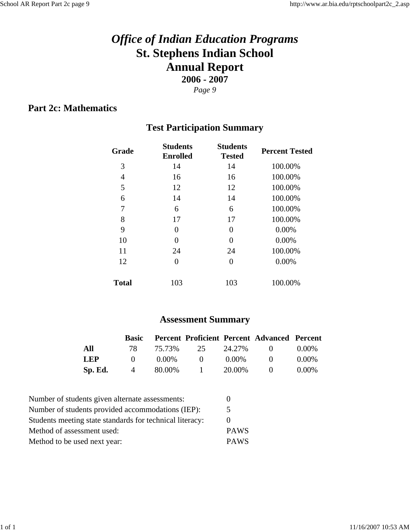## **Part 2c: Mathematics**

## **Test Participation Summary**

| Grade        | <b>Students</b><br><b>Enrolled</b> | <b>Students</b><br><b>Tested</b> | <b>Percent Tested</b> |
|--------------|------------------------------------|----------------------------------|-----------------------|
| 3            | 14                                 | 14                               | 100.00%               |
| 4            | 16                                 | 16                               | 100.00%               |
| 5            | 12                                 | 12                               | 100.00%               |
| 6            | 14                                 | 14                               | 100.00%               |
| 7            | 6                                  | 6                                | 100.00%               |
| 8            | 17                                 | 17                               | 100.00%               |
| 9            | 0                                  | 0                                | 0.00%                 |
| 10           | 0                                  | 0                                | 0.00%                 |
| 11           | 24                                 | 24                               | 100.00%               |
| 12           | 0                                  | 0                                | 0.00%                 |
| <b>Total</b> | 103                                | 103                              | 100.00%               |

## **Assessment Summary**

|         | Basic        |       |                  |        | <b>Percent Proficient Percent Advanced Percent</b>                               |          |
|---------|--------------|-------|------------------|--------|----------------------------------------------------------------------------------|----------|
| All     | 78.          |       | 75.73% 25 24.27% |        | $\left( \begin{array}{ccc} 0 & \cdots & 0 \\ 0 & \cdots & 0 \end{array} \right)$ | $0.00\%$ |
| LEP.    | $\mathbf{0}$ | 0.00% | $\sim 0$         | 0.00%  | $\bullet$ $\bullet$                                                              | $0.00\%$ |
| Sp. Ed. | 4            |       | 80.00% 1         | 20.00% | $\mathbf{U}$                                                                     | 0.00%    |

| Number of students given alternate assessments:          | 0           |
|----------------------------------------------------------|-------------|
| Number of students provided accommodations (IEP):        | 5           |
| Students meeting state standards for technical literacy: | $\theta$    |
| Method of assessment used:                               | <b>PAWS</b> |
| Method to be used next year:                             | <b>PAWS</b> |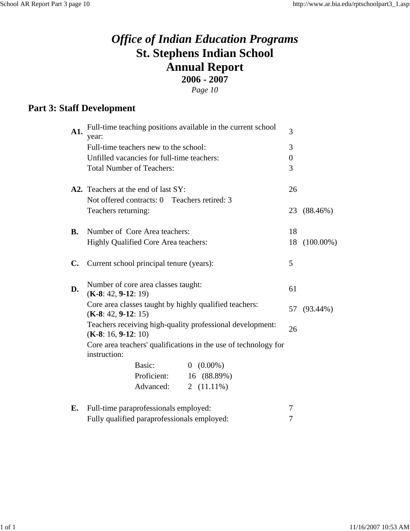**Part 3: Staff Development**

| A1.           | Full-time teaching positions available in the current school<br>year:              |               | $\overline{3}$ |             |
|---------------|------------------------------------------------------------------------------------|---------------|----------------|-------------|
|               | Full-time teachers new to the school:                                              |               | 3              |             |
|               | Unfilled vacancies for full-time teachers:                                         |               | $\overline{0}$ |             |
|               | <b>Total Number of Teachers:</b>                                                   |               | 3              |             |
|               | A2. Teachers at the end of last SY:                                                |               | 26             |             |
|               | Not offered contracts: 0 Teachers retired: 3                                       |               |                |             |
|               | Teachers returning:                                                                |               | 23             | $(88.46\%)$ |
| <b>B.</b>     | Number of Core Area teachers:                                                      |               | 18             |             |
|               | Highly Qualified Core Area teachers:                                               | 18            | $(100.00\%)$   |             |
| $C_{\bullet}$ | Current school principal tenure (years):                                           | 5             |                |             |
| D.            | Number of core area classes taught:<br>$(K-8: 42, 9-12: 19)$                       |               | 61             |             |
|               | Core area classes taught by highly qualified teachers:<br>$(K-8: 42, 9-12: 15)$    |               |                | 57 (93.44%) |
|               | Teachers receiving high-quality professional development:<br>$(K-8: 16, 9-12: 10)$ |               | 26             |             |
|               | Core area teachers' qualifications in the use of technology for<br>instruction:    |               |                |             |
|               | Basic:                                                                             | $0(0.00\%)$   |                |             |
|               | Proficient:                                                                        | 16 (88.89%)   |                |             |
|               | Advanced:                                                                          | 2 $(11.11\%)$ |                |             |
| E.            | Full-time paraprofessionals employed:                                              |               | 7              |             |
|               | Fully qualified paraprofessionals employed:                                        |               | 7              |             |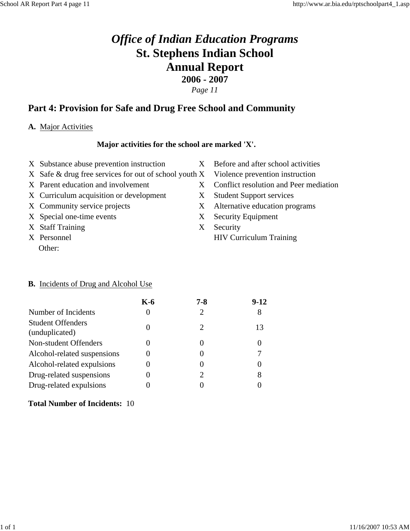## **Part 4: Provision for Safe and Drug Free School and Community**

#### **A.** Major Activities

#### **Major activities for the school are marked 'X'.**

- X Substance abuse prevention instruction X Before and after school activities
- X Safe & drug free services for out of school youth X Violence prevention instruction
- 
- X Curriculum acquisition or development X Student Support services
- 
- X Special one-time events X Security Equipment
- X Staff Training X Security
- Other:
- 
- 
- X Parent education and involvement X Conflict resolution and Peer mediation
	-
- X Community service projects X Alternative education programs
	-
- X Personnel HIV Curriculum Training

#### **B.** Incidents of Drug and Alcohol Use

|                                            | K-6 | 7-8 | $9-12$ |
|--------------------------------------------|-----|-----|--------|
| Number of Incidents                        |     | 2   | 8      |
| <b>Student Offenders</b><br>(unduplicated) |     |     | 13     |
| Non-student Offenders                      |     |     |        |
| Alcohol-related suspensions                |     |     |        |
| Alcohol-related expulsions                 |     |     |        |
| Drug-related suspensions                   |     |     | 8      |
| Drug-related expulsions                    |     |     |        |

#### **Total Number of Incidents:** 10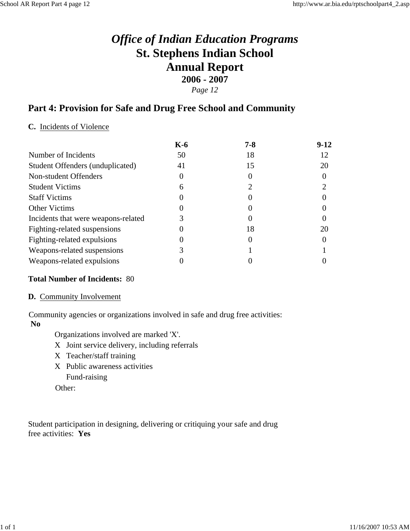#### *Page 12*

### **Part 4: Provision for Safe and Drug Free School and Community**

#### **C.** Incidents of Violence

|                                     | $K-6$ | $7 - 8$  | $9-12$ |
|-------------------------------------|-------|----------|--------|
| Number of Incidents                 | 50    | 18       | 12     |
| Student Offenders (unduplicated)    | 41    | 15       | 20     |
| Non-student Offenders               |       |          |        |
| <b>Student Victims</b>              |       |          |        |
| <b>Staff Victims</b>                |       |          |        |
| <b>Other Victims</b>                |       |          |        |
| Incidents that were weapons-related |       | 0        |        |
| Fighting-related suspensions        |       | 18       | 20     |
| Fighting-related expulsions         |       | $\theta$ |        |
| Weapons-related suspensions         |       |          |        |
| Weapons-related expulsions          |       |          |        |

#### **Total Number of Incidents:** 80

#### **D.** Community Involvement

Community agencies or organizations involved in safe and drug free activities: **No**

Organizations involved are marked 'X'.

- X Joint service delivery, including referrals
- X Teacher/staff training
- X Public awareness activities Fund-raising

Other:

Student participation in designing, delivering or critiquing your safe and drug free activities: **Yes**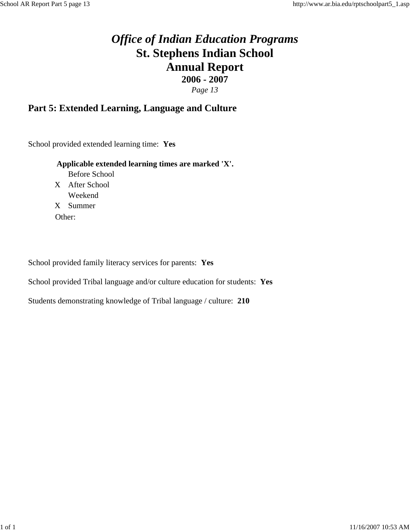### **Part 5: Extended Learning, Language and Culture**

School provided extended learning time: **Yes**

#### **Applicable extended learning times are marked 'X'.**

Before School X After School Weekend X Summer Other:

School provided family literacy services for parents: **Yes**

School provided Tribal language and/or culture education for students: **Yes**

Students demonstrating knowledge of Tribal language / culture: **210**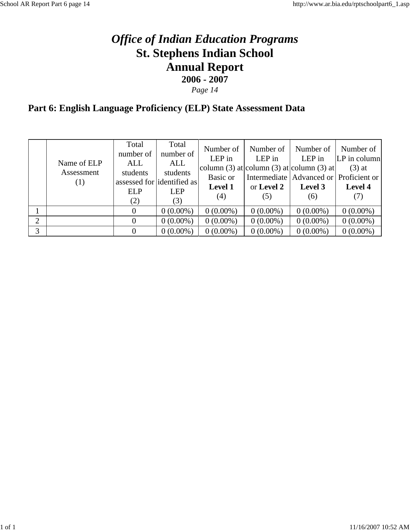*Page 14*

# **Part 6: English Language Proficiency (ELP) State Assessment Data**

|   | Name of ELP<br>Assessment<br>(1) | Total<br>number of<br>ALL<br>students<br><b>ELP</b><br>(2) | Total<br>number of<br>ALL<br>students<br>assessed for dentified as<br><b>LEP</b><br>(3) | Number of<br>$LEP$ in<br>Basic or<br><b>Level 1</b><br>(4) | Number of<br>LEP in<br>or Level 2<br>(5) | Number of<br>LEP in<br>column (3) at column (3) at column (3) at<br>Intermediate   Advanced or   Proficient or  <br>Level 3<br>(6) | Number of<br>$ LP $ in column<br>$(3)$ at<br>Level 4<br>(7) |
|---|----------------------------------|------------------------------------------------------------|-----------------------------------------------------------------------------------------|------------------------------------------------------------|------------------------------------------|------------------------------------------------------------------------------------------------------------------------------------|-------------------------------------------------------------|
|   |                                  | $\theta$                                                   | $0(0.00\%)$                                                                             | $0(0.00\%)$                                                | $0(0.00\%)$                              | $0(0.00\%)$                                                                                                                        | $0(0.00\%)$                                                 |
| 2 |                                  |                                                            | $0(0.00\%)$                                                                             | $0(0.00\%)$                                                | $0(0.00\%)$                              | $0(0.00\%)$                                                                                                                        | $0(0.00\%)$                                                 |
| 3 |                                  | $\Omega$                                                   | $0(0.00\%)$                                                                             | $0(0.00\%)$                                                | $0(0.00\%)$                              | $0(0.00\%)$                                                                                                                        | $0(0.00\%)$                                                 |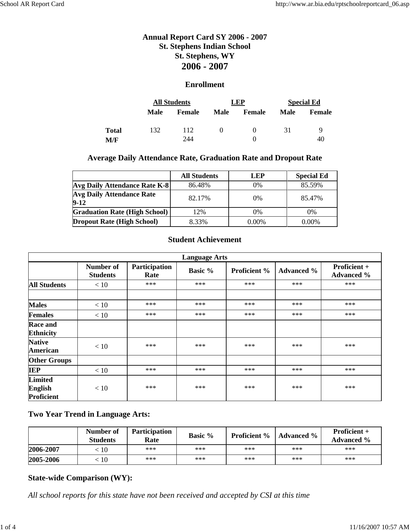#### **Enrollment**

|       | <b>All Students</b> |               | <b>LEP</b>  |                   | <b>Special Ed</b> |               |
|-------|---------------------|---------------|-------------|-------------------|-------------------|---------------|
|       | Male                | <b>Female</b> | <b>Male</b> | Female            | <b>Male</b>       | <b>Female</b> |
| Total | 132                 | 112           | $\theta$    | $\mathbf{\Omega}$ | 31                | Q             |
| M/F   |                     | 244           |             |                   |                   | 40            |

#### **Average Daily Attendance Rate, Graduation Rate and Dropout Rate**

|                                              | <b>All Students</b> | LEP   | <b>Special Ed</b> |
|----------------------------------------------|---------------------|-------|-------------------|
| <b>Avg Daily Attendance Rate K-8</b>         | 86.48%              | $0\%$ | 85.59%            |
| <b>Avg Daily Attendance Rate</b><br>$9 - 12$ | 82.17%              | $0\%$ | 85.47%            |
| <b>Graduation Rate (High School)</b>         | 12%                 | $0\%$ | 0%                |
| <b>Dropout Rate (High School)</b>            | 8.33%               | 0.00% | $0.00\%$          |

#### **Student Achievement**

|                                                | <b>Language Arts</b>         |                       |                |                     |                   |                                   |  |  |
|------------------------------------------------|------------------------------|-----------------------|----------------|---------------------|-------------------|-----------------------------------|--|--|
|                                                | Number of<br><b>Students</b> | Participation<br>Rate | <b>Basic %</b> | <b>Proficient</b> % | <b>Advanced %</b> | Proficient +<br><b>Advanced %</b> |  |  |
| <b>All Students</b>                            | < 10                         | $***$                 | $***$          | $***$               | $***$             | $***$                             |  |  |
| <b>Males</b>                                   | < 10                         | $***$                 | $***$          | $***$               | $***$             | $***$                             |  |  |
| <b>Females</b>                                 | < 10                         | $***$                 | $***$          | $***$               | $***$             | $***$                             |  |  |
| <b>Race and</b><br><b>Ethnicity</b>            |                              |                       |                |                     |                   |                                   |  |  |
| <b>Native</b><br>American                      | < 10                         | $***$                 | ***            | $***$               | $***$             | $***$                             |  |  |
| <b>Other Groups</b>                            |                              |                       |                |                     |                   |                                   |  |  |
| <b>IEP</b>                                     | < 10                         | $***$                 | $***$          | ***                 | $***$             | $***$                             |  |  |
| <b>Limited</b><br><b>English</b><br>Proficient | < 10                         | $***$                 | $***$          | $***$               | $***$             | $***$                             |  |  |

#### **Two Year Trend in Language Arts:**

|           | Number of<br><b>Students</b> | <b>Participation</b><br>Rate | <b>Basic %</b> | <b>Proficient %</b> | <b>Advanced</b> % | <b>Proficient +</b><br><b>Advanced</b> % |
|-----------|------------------------------|------------------------------|----------------|---------------------|-------------------|------------------------------------------|
| 2006-2007 | 10                           | $***$                        | $***$          | $***$               | $***$             | $***$                                    |
| 2005-2006 | 10                           | $***$                        | $***$          | $***$               | $***$             | $***$                                    |

#### **State-wide Comparison (WY):**

*All school reports for this state have not been received and accepted by CSI at this time*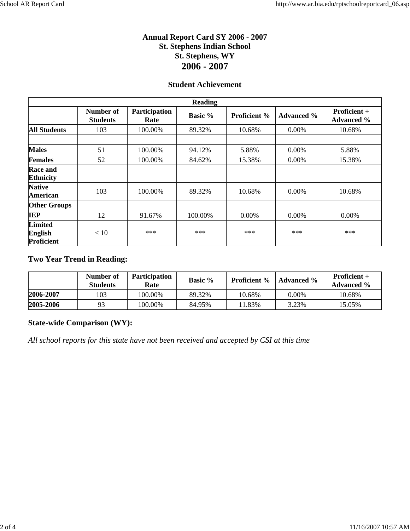#### **Student Achievement**

|                                                | <b>Reading</b>               |                       |                |                     |                   |                                   |  |  |
|------------------------------------------------|------------------------------|-----------------------|----------------|---------------------|-------------------|-----------------------------------|--|--|
|                                                | Number of<br><b>Students</b> | Participation<br>Rate | <b>Basic %</b> | <b>Proficient %</b> | <b>Advanced %</b> | Proficient +<br><b>Advanced %</b> |  |  |
| <b>All Students</b>                            | 103                          | 100.00%               | 89.32%         | 10.68%              | $0.00\%$          | 10.68%                            |  |  |
|                                                |                              |                       |                |                     |                   |                                   |  |  |
| <b>Males</b>                                   | 51                           | 100.00%               | 94.12%         | 5.88%               | $0.00\%$          | 5.88%                             |  |  |
| <b>Females</b>                                 | 52                           | 100.00%               | 84.62%         | 15.38%              | $0.00\%$          | 15.38%                            |  |  |
| <b>Race and</b><br><b>Ethnicity</b>            |                              |                       |                |                     |                   |                                   |  |  |
| <b>Native</b><br>American                      | 103                          | 100.00%               | 89.32%         | 10.68%              | 0.00%             | 10.68%                            |  |  |
| <b>Other Groups</b>                            |                              |                       |                |                     |                   |                                   |  |  |
| <b>IEP</b>                                     | 12                           | 91.67%                | 100.00%        | 0.00%               | 0.00%             | $0.00\%$                          |  |  |
| <b>Limited</b><br><b>English</b><br>Proficient | < 10                         | $***$                 | $***$          | $***$               | $***$             | $***$                             |  |  |

#### **Two Year Trend in Reading:**

|           | Number of<br><b>Students</b> | <b>Participation</b><br>Rate | Basic % | <b>Proficient</b> % | <b>Advanced</b> % | <b>Proficient</b> $+$<br><b>Advanced</b> % |
|-----------|------------------------------|------------------------------|---------|---------------------|-------------------|--------------------------------------------|
| 2006-2007 | 103                          | 100.00%                      | 89.32%  | 10.68%              | $0.00\%$          | 10.68%                                     |
| 2005-2006 | 93                           | 100.00%                      | 84.95%  | $1.83\%$            | 3.23%             | 15.05%                                     |

#### **State-wide Comparison (WY):**

*All school reports for this state have not been received and accepted by CSI at this time*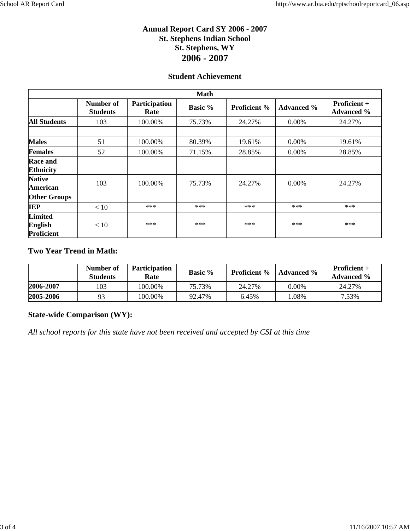#### **Student Achievement**

| <b>Math</b>                                    |                              |                       |                |                     |                   |                                          |  |
|------------------------------------------------|------------------------------|-----------------------|----------------|---------------------|-------------------|------------------------------------------|--|
|                                                | Number of<br><b>Students</b> | Participation<br>Rate | <b>Basic %</b> | <b>Proficient</b> % | <b>Advanced %</b> | <b>Proficient +</b><br><b>Advanced %</b> |  |
| <b>All Students</b>                            | 103                          | 100.00%               | 75.73%         | 24.27%              | 0.00%             | 24.27%                                   |  |
|                                                |                              |                       |                |                     |                   |                                          |  |
| <b>Males</b>                                   | 51                           | 100.00%               | 80.39%         | 19.61%              | $0.00\%$          | 19.61%                                   |  |
| <b>Females</b>                                 | 52                           | 100.00%               | 71.15%         | 28.85%              | 0.00%             | 28.85%                                   |  |
| <b>Race and</b><br><b>Ethnicity</b>            |                              |                       |                |                     |                   |                                          |  |
| <b>Native</b><br><b>American</b>               | 103                          | 100.00%               | 75.73%         | 24.27%              | $0.00\%$          | 24.27%                                   |  |
| <b>Other Groups</b>                            |                              |                       |                |                     |                   |                                          |  |
| <b>IEP</b>                                     | < 10                         | $***$                 | $***$          | ***                 | $***$             | ***                                      |  |
| <b>Limited</b><br><b>English</b><br>Proficient | < 10                         | $***$                 | $***$          | $***$               | $***$             | ***                                      |  |

#### **Two Year Trend in Math:**

|           | Number of<br><b>Students</b> | <b>Participation</b><br>Rate | <b>Basic %</b> | <b>Proficient</b> % | <b>Advanced</b> % | <b>Proficient</b> $+$<br><b>Advanced</b> % |
|-----------|------------------------------|------------------------------|----------------|---------------------|-------------------|--------------------------------------------|
| 2006-2007 | 103                          | 100.00%                      | 75.73%         | 24.27%              | $0.00\%$          | 24.27%                                     |
| 2005-2006 | 93                           | 100.00%                      | 92.47%         | 6.45%               | .08%              | 7.53%                                      |

#### **State-wide Comparison (WY):**

*All school reports for this state have not been received and accepted by CSI at this time*